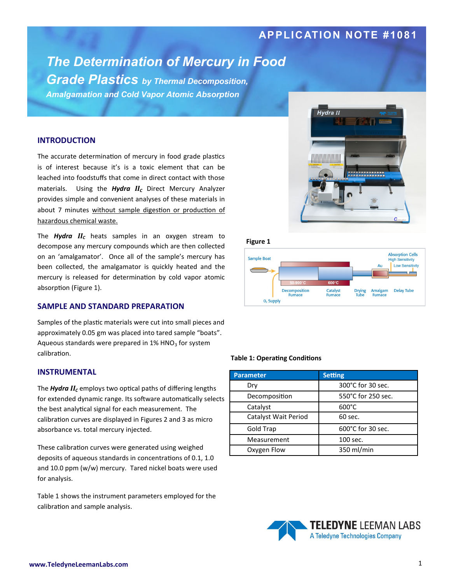## **APPLICATION NOTE #1081**

# *The Determination of Mercury in Food*

*Grade Plastics by Thermal Decomposition, Amalgamation and Cold Vapor Atomic Absorption*

## **INTRODUCTION**

The accurate determination of mercury in food grade plastics is of interest because it's is a toxic element that can be leached into foodstuffs that come in direct contact with those materials. Using the *Hydra II<sup>C</sup>* Direct Mercury Analyzer provides simple and convenient analyses of these materials in about 7 minutes without sample digestion or production of hazardous chemical waste.

The *Hydra II<sup>C</sup>* heats samples in an oxygen stream to decompose any mercury compounds which are then collected on an 'amalgamator'. Once all of the sample's mercury has been collected, the amalgamator is quickly heated and the mercury is released for determination by cold vapor atomic absorption (Figure 1).

## **SAMPLE AND STANDARD PREPARATION**

Samples of the plastic materials were cut into small pieces and approximately 0.05 gm was placed into tared sample "boats". Aqueous standards were prepared in  $1\%$  HNO<sub>3</sub> for system calibration.

## **INSTRUMENTAL**

The *Hydra II<sup>C</sup>* employs two optical paths of differing lengths for extended dynamic range. Its software automatically selects the best analytical signal for each measurement. The calibration curves are displayed in Figures 2 and 3 as micro absorbance vs. total mercury injected.

These calibration curves were generated using weighed deposits of aqueous standards in concentrations of 0.1, 1.0 and 10.0 ppm (w/w) mercury. Tared nickel boats were used for analysis.

Table 1 shows the instrument parameters employed for the calibration and sample analysis.



**Figure 1**



#### **Table 1: Operating Conditions**

| <b>Parameter</b>     | <b>Setting</b>     |
|----------------------|--------------------|
| Dry                  | 300°C for 30 sec.  |
| Decomposition        | 550°C for 250 sec. |
| Catalyst             | $600^{\circ}$ C    |
| Catalyst Wait Period | 60 sec.            |
| <b>Gold Trap</b>     | 600°C for 30 sec.  |
| Measurement          | 100 sec.           |
| Oxygen Flow          | 350 ml/min         |